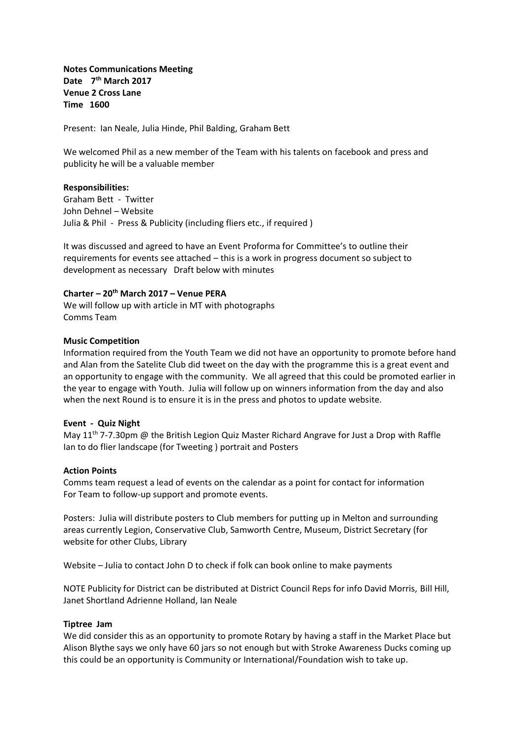**Notes Communications Meeting Date 7th March 2017 Venue 2 Cross Lane Time 1600**

Present: Ian Neale, Julia Hinde, Phil Balding, Graham Bett

We welcomed Phil as a new member of the Team with his talents on facebook and press and publicity he will be a valuable member

### **Responsibilities:**

Graham Bett - Twitter John Dehnel – Website Julia & Phil - Press & Publicity (including fliers etc., if required )

It was discussed and agreed to have an Event Proforma for Committee's to outline their requirements for events see attached – this is a work in progress document so subject to development as necessary Draft below with minutes

# **Charter – 20th March 2017 – Venue PERA**

We will follow up with article in MT with photographs Comms Team

## **Music Competition**

Information required from the Youth Team we did not have an opportunity to promote before hand and Alan from the Satelite Club did tweet on the day with the programme this is a great event and an opportunity to engage with the community. We all agreed that this could be promoted earlier in the year to engage with Youth. Julia will follow up on winners information from the day and also when the next Round is to ensure it is in the press and photos to update website.

### **Event - Quiz Night**

May  $11<sup>th</sup>$  7-7.30pm @ the British Legion Quiz Master Richard Angrave for Just a Drop with Raffle Ian to do flier landscape (for Tweeting ) portrait and Posters

### **Action Points**

Comms team request a lead of events on the calendar as a point for contact for information For Team to follow-up support and promote events.

Posters: Julia will distribute posters to Club members for putting up in Melton and surrounding areas currently Legion, Conservative Club, Samworth Centre, Museum, District Secretary (for website for other Clubs, Library

Website – Julia to contact John D to check if folk can book online to make payments

NOTE Publicity for District can be distributed at District Council Reps for info David Morris, Bill Hill, Janet Shortland Adrienne Holland, Ian Neale

# **Tiptree Jam**

We did consider this as an opportunity to promote Rotary by having a staff in the Market Place but Alison Blythe says we only have 60 jars so not enough but with Stroke Awareness Ducks coming up this could be an opportunity is Community or International/Foundation wish to take up.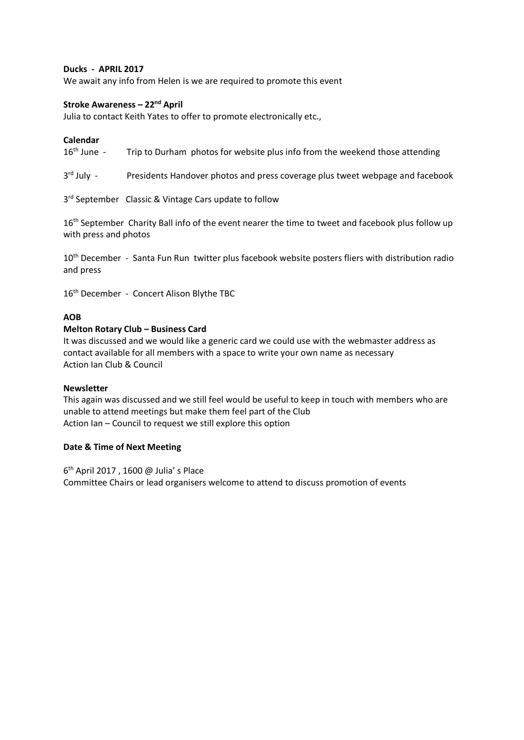## **Ducks - APRIL 2017**

We await any info from Helen is we are required to promote this event

# **Stroke Awareness – 22nd April**

Julia to contact Keith Yates to offer to promote electronically etc.,

**Calendar**<br>16<sup>th</sup> June -Trip to Durham photos for website plus info from the weekend those attending

 $3<sup>rd</sup>$  July -Presidents Handover photos and press coverage plus tweet webpage and facebook

3<sup>rd</sup> September Classic & Vintage Cars update to follow

16<sup>th</sup> September Charity Ball info of the event nearer the time to tweet and facebook plus follow up with press and photos

10<sup>th</sup> December - Santa Fun Run twitter plus facebook website posters fliers with distribution radio and press

16th December - Concert Alison Blythe TBC

## **AOB**

## **Melton Rotary Club – Business Card**

It was discussed and we would like a generic card we could use with the webmaster address as contact available for all members with a space to write your own name as necessary Action Ian Club & Council

### **Newsletter**

This again was discussed and we still feel would be useful to keep in touch with members who are unable to attend meetings but make them feel part of the Club Action Ian – Council to request we still explore this option

## **Date & Time of Next Meeting**

6 th April 2017 , 1600 @ Julia' s Place Committee Chairs or lead organisers welcome to attend to discuss promotion of events